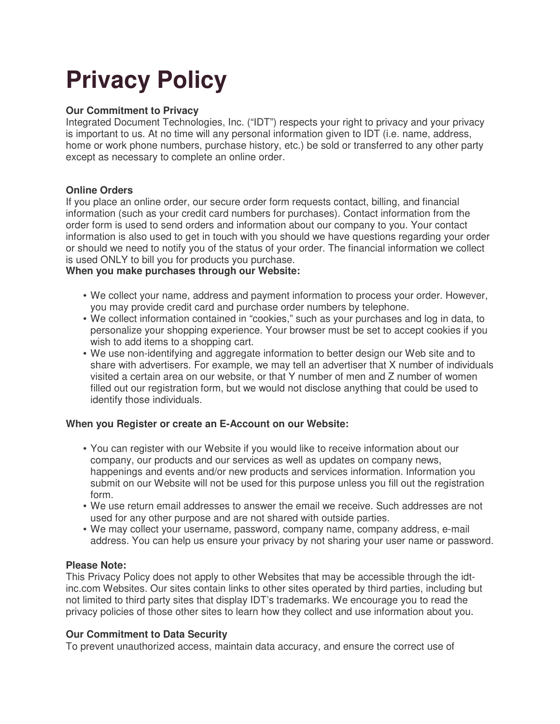# **Privacy Policy**

# **Our Commitment to Privacy**

Integrated Document Technologies, Inc. ("IDT") respects your right to privacy and your privacy is important to us. At no time will any personal information given to IDT (i.e. name, address, home or work phone numbers, purchase history, etc.) be sold or transferred to any other party except as necessary to complete an online order.

# **Online Orders**

If you place an online order, our secure order form requests contact, billing, and financial information (such as your credit card numbers for purchases). Contact information from the order form is used to send orders and information about our company to you. Your contact information is also used to get in touch with you should we have questions regarding your order or should we need to notify you of the status of your order. The financial information we collect is used ONLY to bill you for products you purchase.

# **When you make purchases through our Website:**

- We collect your name, address and payment information to process your order. However, you may provide credit card and purchase order numbers by telephone.
- We collect information contained in "cookies," such as your purchases and log in data, to personalize your shopping experience. Your browser must be set to accept cookies if you wish to add items to a shopping cart.
- We use non-identifying and aggregate information to better design our Web site and to share with advertisers. For example, we may tell an advertiser that X number of individuals visited a certain area on our website, or that Y number of men and Z number of women filled out our registration form, but we would not disclose anything that could be used to identify those individuals.

# **When you Register or create an E-Account on our Website:**

- You can register with our Website if you would like to receive information about our company, our products and our services as well as updates on company news, happenings and events and/or new products and services information. Information you submit on our Website will not be used for this purpose unless you fill out the registration form.
- We use return email addresses to answer the email we receive. Such addresses are not used for any other purpose and are not shared with outside parties.
- We may collect your username, password, company name, company address, e-mail address. You can help us ensure your privacy by not sharing your user name or password.

### **Please Note:**

This Privacy Policy does not apply to other Websites that may be accessible through the idtinc.com Websites. Our sites contain links to other sites operated by third parties, including but not limited to third party sites that display IDT's trademarks. We encourage you to read the privacy policies of those other sites to learn how they collect and use information about you.

### **Our Commitment to Data Security**

To prevent unauthorized access, maintain data accuracy, and ensure the correct use of